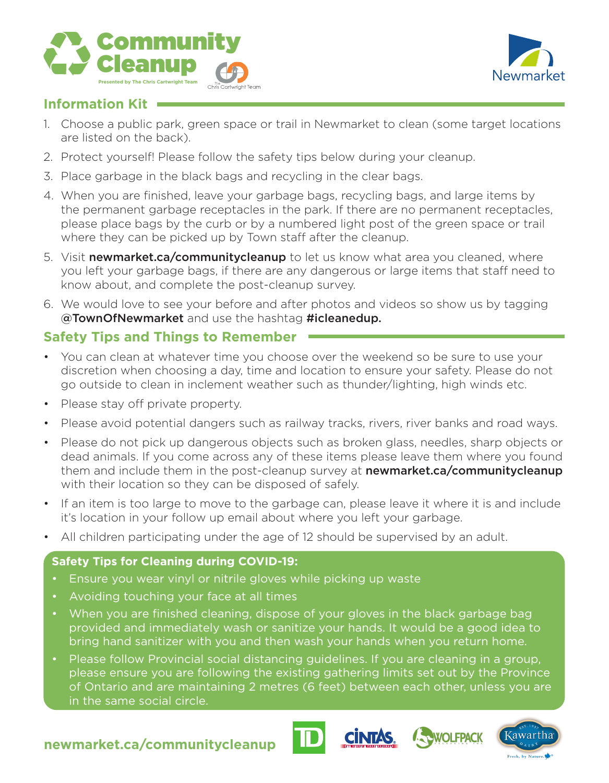



### **Information Kit**

- 1. Choose a public park, green space or trail in Newmarket to clean (some target locations are listed on the back).
- 2. Protect yourself! Please follow the safety tips below during your cleanup.
- 3. Place garbage in the black bags and recycling in the clear bags.
- 4. When you are finished, leave your garbage bags, recycling bags, and large items by the permanent garbage receptacles in the park. If there are no permanent receptacles, please place bags by the curb or by a numbered light post of the green space or trail where they can be picked up by Town staff after the cleanup.
- 5. Visit newmarket.ca/communitycleanup to let us know what area you cleaned, where you left your garbage bags, if there are any dangerous or large items that staff need to know about, and complete the post-cleanup survey.
- 6. We would love to see your before and after photos and videos so show us by tagging @TownOfNewmarket and use the hashtag #icleanedup.

## **Safety Tips and Things to Remember**

- You can clean at whatever time you choose over the weekend so be sure to use your discretion when choosing a day, time and location to ensure your safety. Please do not go outside to clean in inclement weather such as thunder/lighting, high winds etc.
- Please stay off private property.
- Please avoid potential dangers such as railway tracks, rivers, river banks and road ways.
- Please do not pick up dangerous objects such as broken glass, needles, sharp objects or dead animals. If you come across any of these items please leave them where you found them and include them in the post-cleanup survey at newmarket.ca/communitycleanup with their location so they can be disposed of safely.
- If an item is too large to move to the garbage can, please leave it where it is and include it's location in your follow up email about where you left your garbage.
- All children participating under the age of 12 should be supervised by an adult.

#### **Safety Tips for Cleaning during COVID-19:**

- Ensure you wear vinyl or nitrile gloves while picking up waste
- Avoiding touching your face at all times
- When you are finished cleaning, dispose of your gloves in the black garbage bag provided and immediately wash or sanitize your hands. It would be a good idea to bring hand sanitizer with you and then wash your hands when you return home.
- Please follow Provincial social distancing guidelines. If you are cleaning in a group, please ensure you are following the existing gathering limits set out by the Province of Ontario and are maintaining 2 metres (6 feet) between each other, unless you are in the same social circle.







## **newmarket.ca/communitycleanup**